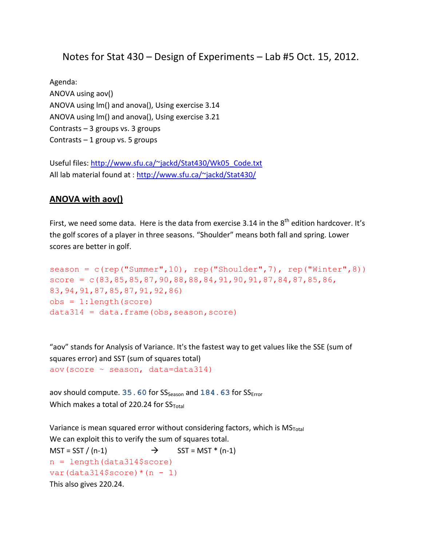# Notes for Stat 430 – Design of Experiments – Lab #5 Oct. 15, 2012.

Agenda: ANOVA using aov() ANOVA using lm() and anova(), Using exercise 3.14 ANOVA using lm() and anova(), Using exercise 3.21 Contrasts – 3 groups vs. 3 groups Contrasts – 1 group vs. 5 groups

Useful files: [http://www.sfu.ca/~jackd/Stat430/Wk05\\_Code.txt](http://www.sfu.ca/~jackd/Stat430/Wk05_Code.txt) All lab material found at :<http://www.sfu.ca/~jackd/Stat430/>

#### **ANOVA with aov()**

First, we need some data. Here is the data from exercise 3.14 in the  $8<sup>th</sup>$  edition hardcover. It's the golf scores of a player in three seasons. "Shoulder" means both fall and spring. Lower scores are better in golf.

```
season = c(rep("Summer",10), rep("Shoulder",7), rep("Winter",8))
score = c(83, 85, 85, 87, 90, 88, 88, 84, 91, 90, 91, 87, 84, 87, 85, 86,83,94,91,87,85,87,91,92,86)
obs = 1: length (score)
data314 = data.frame(obs, season,score)
```
"aov" stands for Analysis of Variance. It's the fastest way to get values like the SSE (sum of squares error) and SST (sum of squares total) aov(score ~ season, data=data314)

aov should compute. 35.60 for SS<sub>Season</sub> and 184.63 for SS<sub>Error</sub> Which makes a total of 220.24 for  $SS_{Total}$ 

Variance is mean squared error without considering factors, which is  $MS_{Total}$ We can exploit this to verify the sum of squares total.  $MST = SST / (n-1)$   $\rightarrow$   $SST = MST * (n-1)$  $n = length(data314$ \$score)  $var(data314$score) * (n - 1)$ This also gives 220.24.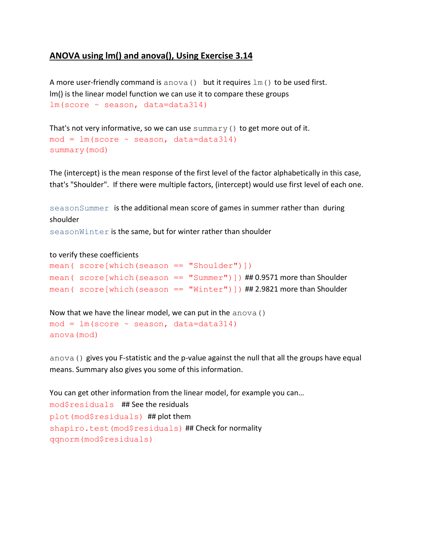## **ANOVA using lm() and anova(), Using Exercise 3.14**

A more user-friendly command is anova () but it requires  $lm($ ) to be used first. lm() is the linear model function we can use it to compare these groups lm(score ~ season, data=data314)

```
That's not very informative, so we can use summary () to get more out of it.
mod = lm(score ~ season, data=data314)summary(mod)
```
The (intercept) is the mean response of the first level of the factor alphabetically in this case, that's "Shoulder". If there were multiple factors, (intercept) would use first level of each one.

seasonSummer is the additional mean score of games in summer rather than during shoulder

seasonWinter is the same, but for winter rather than shoulder

#### to verify these coefficients

```
mean( score[which(season == "Shoulder")])
mean( score[which(season == "Summer"))) ## 0.9571 more than Shoulder
mean( score[which(season == "Winter")]) ## 2.9821 more than Shoulder
```
Now that we have the linear model, we can put in the anova()  $mod = lm(score ~ season, data=data314)$ anova(mod)

anova() gives you F-statistic and the p-value against the null that all the groups have equal means. Summary also gives you some of this information.

You can get other information from the linear model, for example you can… mod\$residuals ## See the residuals plot(mod\$residuals) ## plot them shapiro.test(mod\$residuals) ## Check for normality qqnorm(mod\$residuals)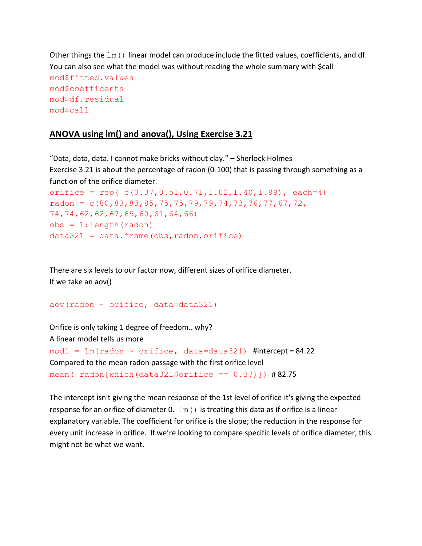```
Other things the lm() linear model can produce include the fitted values, coefficients, and df.
You can also see what the model was without reading the whole summary with $call
mod$fitted.values
mod$coefficents
mod$df.residual
mod$call
```
#### **ANOVA using lm() and anova(), Using Exercise 3.21**

"Data, data, data. I cannot make bricks without clay." – Sherlock Holmes Exercise 3.21 is about the percentage of radon (0-100) that is passing through something as a function of the orifice diameter. orifice = rep( $c(0.37, 0.51, 0.71, 1.02, 1.40, 1.99)$ , each=4) radon =  $c(80, 83, 83, 85, 75, 75, 79, 79, 74, 73, 76, 77, 67, 72,$ 74,74,62,62,67,69,60,61,64,66)  $obs = 1:length(radon)$ 

```
data321 = data.frame(obs, radon, orifice)
```
There are six levels to our factor now, different sizes of orifice diameter. If we take an aov()

```
aov(radon \sim orifice, data=data321)
```
Orifice is only taking 1 degree of freedom.. why? A linear model tells us more  $mod1 = lm(radon ~ orifice, data=data321)$  #intercept = 84.22 Compared to the mean radon passage with the first orifice level mean( radon[which(data321\$orifice ==  $0.37$ )]) #82.75

The intercept isn't giving the mean response of the 1st level of orifice it's giving the expected response for an orifice of diameter 0.  $\text{lm}$  () is treating this data as if orifice is a linear explanatory variable. The coefficient for orifice is the slope; the reduction in the response for every unit increase in orifice. If we're looking to compare specific levels of orifice diameter, this might not be what we want.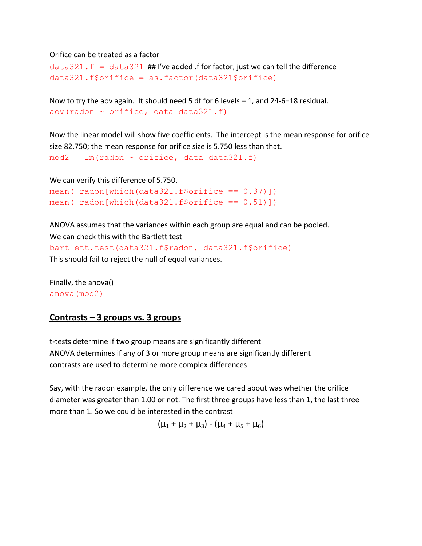#### Orifice can be treated as a factor

```
data321.f = data321 ## I've added .f for factor, just we can tell the difference
data321.f\
```

```
Now to try the aov again. It should need 5 df for 6 levels -1, and 24-6=18 residual.
aov(radon \sim orifice, data=data321.f)
```
Now the linear model will show five coefficients. The intercept is the mean response for orifice size 82.750; the mean response for orifice size is 5.750 less than that.  $mod2 = lm(radon \sim orifice, data=data321.f)$ 

```
We can verify this difference of 5.750.
mean(radon[which(data321.f$orifice == 0.37)])
mean(radon[which(data321.f$orifice == 0.51)])
```
ANOVA assumes that the variances within each group are equal and can be pooled. We can check this with the Bartlett test

```
bartlett.test(data321.f$radon, data321.f$orifice)
This should fail to reject the null of equal variances.
```
Finally, the anova() anova(mod2)

## **Contrasts – 3 groups vs. 3 groups**

t-tests determine if two group means are significantly different ANOVA determines if any of 3 or more group means are significantly different contrasts are used to determine more complex differences

Say, with the radon example, the only difference we cared about was whether the orifice diameter was greater than 1.00 or not. The first three groups have less than 1, the last three more than 1. So we could be interested in the contrast

 $(\mu_1 + \mu_2 + \mu_3) - (\mu_4 + \mu_5 + \mu_6)$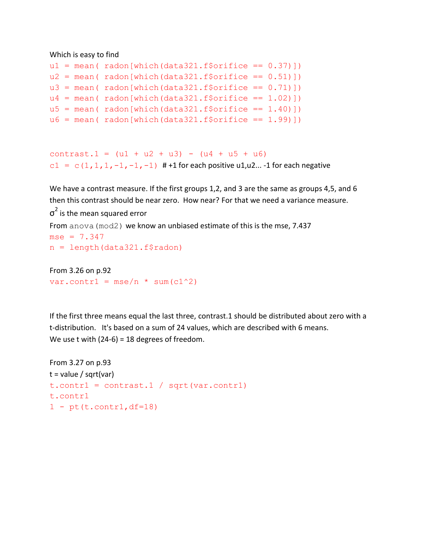#### Which is easy to find

```
ul = mean (radon[which(data321.f§ orifice == 0.37)])u2 = \text{mean}(\text{radon}[\text{which}(data321.f\text{5orifice} == 0.51)])u3 = \text{mean}(\text{radon}[\text{which}(data321.f\$orifice == 0.71)])u4 = \text{mean}(\text{radon}[\text{which}(data321.f\$orifice == 1.02)]u5 = mean (radon[which(data321.f§ or ifice == 1.40)])u6 = \text{mean}(\text{radon}[\text{which}(\text{data}321.f\text{5}orifice == 1.99)])
```

```
contrast.1 = (u1 + u2 + u3) - (u4 + u5 + u6)c1 = c(1, 1, 1, -1, -1, -1) # +1 for each positive u1, u2... -1 for each negative
```
We have a contrast measure. If the first groups 1,2, and 3 are the same as groups 4,5, and 6 then this contrast should be near zero. How near? For that we need a variance measure.

```
\sigma^2 is the mean squared error
From anova (mod2) we know an unbiased estimate of this is the mse, 7.437
mse = 7.347n = length(data321.f$radon)
```

```
From 3.26 on p.92
var.contr1 = \text{mse}/n \times \text{sum}(c1^2)
```
If the first three means equal the last three, contrast.1 should be distributed about zero with a t-distribution. It's based on a sum of 24 values, which are described with 6 means. We use t with (24-6) = 18 degrees of freedom.

```
From 3.27 on p.93
t = value / sqrt(var)
t. contr1 = contrast.1 / sqrt(var.contr1)
t.contr1
1 - pt(t.\text{contr1},df=18)
```